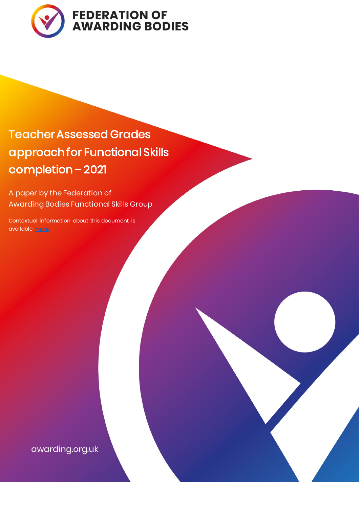

# Teacher Assessed Grades approach for Functional Skills completion – 2021

A paper by the Federation of Awarding Bodies Functional Skills Group

Contextual information about this document is available [here](https://awarding.org.uk/tag-approach-for-functional-skills-a-paper-by-the-federations-fs-group/)

awarding.org.uk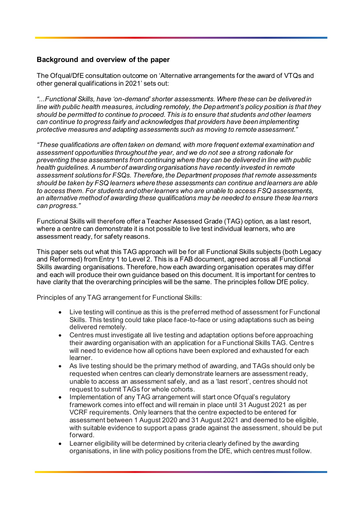# **Background and overview of the paper**

The Ofqual/DfE consultation outcome on 'Alternative arrangements for the award of VTQs and other general qualifications in 2021' sets out:

*"...Functional Skills, have 'on-demand' shorter assessments. Where these can be delivered in line with public health measures, including remotely, the Department's policy position is that they should be permitted to continue to proceed. This is to ensure that students and other learners can continue to progress fairly and acknowledges that providers have been implementing protective measures and adapting assessments such as moving to remote assessment."*

*"These qualifications are often taken on demand, with more frequent external examination and assessment opportunities throughout the year, and we do not see a strong rationale for preventing these assessments from continuing where they can be delivered in line with public health guidelines. A number of awarding organisations have recently invested in remote assessment solutions for FSQs. Therefore, the Department proposes that remote assessments should be taken by FSQ learners where these assessments can continue and learners are able to access them. For students and other learners who are unable to access FSQ assessments, an alternative method of awarding these qualifications may be needed to ensure these learners can progress."*

Functional Skills will therefore offer a Teacher Assessed Grade (TAG) option, as a last resort, where a centre can demonstrate it is not possible to live test individual learners, who are assessment ready, for safety reasons.

This paper sets out what this TAG approach will be for all Functional Skills subjects (both Legacy and Reformed) from Entry 1 to Level 2. This is a FAB document, agreed across all Functional Skills awarding organisations. Therefore, how each awarding organisation operates may differ and each will produce their own guidance based on this document. It is important for centres to have clarity that the overarching principles will be the same. The principles follow DfE policy.

Principles of any TAG arrangement for Functional Skills:

- Live testing will continue as this is the preferred method of assessment for Functional Skills. This testing could take place face-to-face or using adaptations such as being delivered remotely.
- Centres must investigate all live testing and adaptation options before approaching their awarding organisation with an application for a Functional Skills TAG. Centres will need to evidence how all options have been explored and exhausted for each learner.
- As live testing should be the primary method of awarding, and TAGs should only be requested when centres can clearly demonstrate learners are assessment ready, unable to access an assessment safely, and as a 'last resort', centres should not request to submit TAGs for whole cohorts.
- Implementation of any TAG arrangement will start once Ofqual's regulatory framework comes into effect and will remain in place until 31 August 2021 as per VCRF requirements. Only learners that the centre expected to be entered for assessment between 1 August 2020 and 31 August 2021 and deemed to be eligible, with suitable evidence to support a pass grade against the assessment, should be put forward.
- Learner eligibility will be determined by criteria clearly defined by the awarding organisations, in line with policy positions from the DfE, which centres must follow.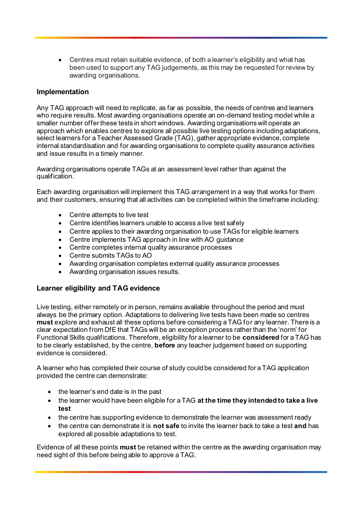• Centres must retain suitable evidence, of both a learner's eligibility and what has been used to support any TAG judgements, as this may be requested for review by awarding organisations.

## **Implementation**

Any TAG approach will need to replicate, as far as possible, the needs of centres and learners who require results. Most awarding organisations operate an on-demand testing model while a smaller number offer these tests in short windows. Awarding organisations will operate an approach which enables centres to explore all possible live testing options including adaptations, select learners for a Teacher Assessed Grade (TAG), gather appropriate evidence, complete internal standardisation and for awarding organisations to complete quality assurance activities and issue results in a timely manner.

Awarding organisations operate TAGs at an assessment level rather than against the qualification.

Each awarding organisation will implement this TAG arrangement in a way that works for them and their customers, ensuring that all activities can be completed within the timeframe including:

- Centre attempts to live test
- Centre identifies learners unable to access a live test safely
- Centre applies to their awarding organisation to use TAGs for eligible learners
- Centre implements TAG approach in line with AO guidance
- Centre completes internal quality assurance processes
- Centre submits TAGs to AO
- Awarding organisation completes external quality assurance processes
- Awarding organisation issues results.

# **Learner eligibility and TAG evidence**

Live testing, either remotely or in person, remains available throughout the period and must always be the primary option. Adaptations to delivering live tests have been made so centres **must** explore and exhaust all these options before considering a TAG for any learner. There is a clear expectation from DfE that TAGs will be an exception process rather than the 'norm' for Functional Skills qualifications. Therefore, eligibility for a learner to be **considered** for a TAG has to be clearly established, by the centre, **before** any teacher judgement based on supporting evidence is considered.

A learner who has completed their course of study could be considered for a TAG application provided the centre can demonstrate:

- the learner's end date is in the past
- the learner would have been eligible for a TAG **at the time they intended to take a live test**
- the centre has supporting evidence to demonstrate the learner was assessment ready
- the centre can demonstrate it is **not safe** to invite the learner back to take a test **and** has explored all possible adaptations to test.

Evidence of all these points **must** be retained within the centre as the awarding organisation may need sight of this before being able to approve a TAG.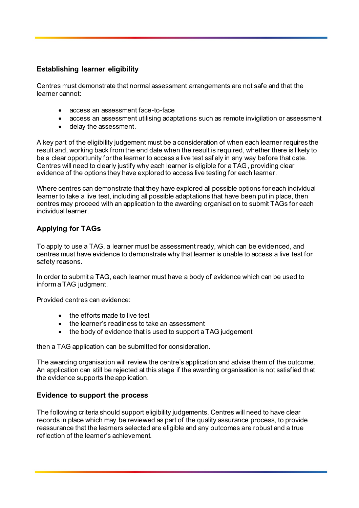# **Establishing learner eligibility**

Centres must demonstrate that normal assessment arrangements are not safe and that the learner cannot:

- access an assessment face-to-face
- access an assessment utilising adaptations such as remote invigilation or assessment
- delay the assessment.

A key part of the eligibility judgement must be a consideration of when each learner requires the result and, working back from the end date when the result is required, whether there is likely to be a clear opportunity for the learner to access a live test saf ely in any way before that date. Centres will need to clearly justify why each learner is eligible for a TAG, providing clear evidence of the options they have explored to access live testing for each learner.

Where centres can demonstrate that they have explored all possible options for each individual learner to take a live test, including all possible adaptations that have been put in place, then centres may proceed with an application to the awarding organisation to submit TAGs for each individual learner.

# **Applying for TAGs**

To apply to use a TAG, a learner must be assessment ready, which can be evidenced, and centres must have evidence to demonstrate why that learner is unable to access a live test for safety reasons.

In order to submit a TAG, each learner must have a body of evidence which can be used to inform a TAG judgment.

Provided centres can evidence:

- the efforts made to live test
- the learner's readiness to take an assessment
- the body of evidence that is used to support a TAG judgement

then a TAG application can be submitted for consideration.

The awarding organisation will review the centre's application and advise them of the outcome. An application can still be rejected at this stage if the awarding organisation is not satisfied that the evidence supports the application.

# **Evidence to support the process**

The following criteria should support eligibility judgements. Centres will need to have clear records in place which may be reviewed as part of the quality assurance process, to provide reassurance that the learners selected are eligible and any outcomes are robust and a true reflection of the learner's achievement.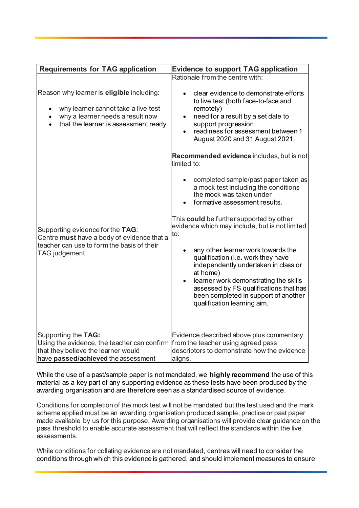| <b>Requirements for TAG application</b>                                                                                                                       | <b>Evidence to support TAG application</b>                                                                                                                                                                                                                                                                                                                                                                                                                                                                                                                                                           |
|---------------------------------------------------------------------------------------------------------------------------------------------------------------|------------------------------------------------------------------------------------------------------------------------------------------------------------------------------------------------------------------------------------------------------------------------------------------------------------------------------------------------------------------------------------------------------------------------------------------------------------------------------------------------------------------------------------------------------------------------------------------------------|
| Reason why learner is eligible including:<br>why learner cannot take a live test<br>why a learner needs a result now<br>that the learner is assessment ready. | Rationale from the centre with:<br>clear evidence to demonstrate efforts<br>to live test (both face-to-face and<br>remotely)<br>need for a result by a set date to<br>$\bullet$<br>support progression<br>readiness for assessment between 1<br>August 2020 and 31 August 2021.                                                                                                                                                                                                                                                                                                                      |
| Supporting evidence for the TAG:<br>Centre must have a body of evidence that a<br>teacher can use to form the basis of their<br>TAG judgement                 | Recommended evidence includes, but is not<br>limited to:<br>completed sample/past paper taken as<br>a mock test including the conditions<br>the mock was taken under<br>formative assessment results.<br>This could be further supported by other<br>evidence which may include, but is not limited<br>to:<br>any other learner work towards the<br>qualification (i.e. work they have<br>independently undertaken in class or<br>at home)<br>learner work demonstrating the skills<br>assessed by FS qualifications that has<br>been completed in support of another<br>qualification learning aim. |
| Supporting the TAG:<br>Using the evidence, the teacher can confirm<br>that they believe the learner would<br>have passed/achieved the assessment              | Evidence described above plus commentary<br>from the teacher using agreed pass<br>descriptors to demonstrate how the evidence<br>aligns.                                                                                                                                                                                                                                                                                                                                                                                                                                                             |

While the use of a past/sample paper is not mandated, we **highly recommend** the use of this material as a key part of any supporting evidence as these tests have been produced by the awarding organisation and are therefore seen as a standardised source of evidence.

Conditions for completion of the mock test will not be mandated but the test used and the mark scheme applied must be an awarding organisation produced sample, practice or past paper made available by us for this purpose. Awarding organisations will provide clear guidance on the pass threshold to enable accurate assessment that will reflect the standards within the live assessments.

While conditions for collating evidence are not mandated, centres will need to consider the conditions through which this evidence is gathered, and should implement measures to ensure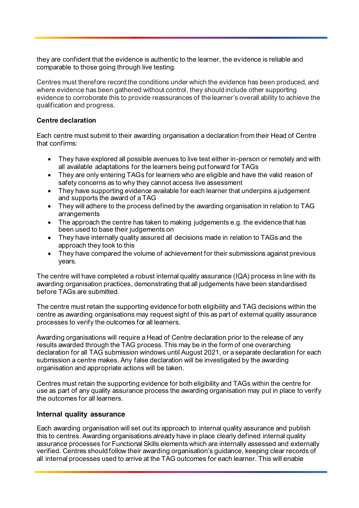they are confident that the evidence is authentic to the learner, the evidence is reliable and comparable to those going through live testing.

Centres must therefore record the conditions under which the evidence has been produced, and where evidence has been gathered without control, they should include other supporting evidence to corroborate this to provide reassurances of the learner's overall ability to achieve the qualification and progress. 

#### **Centre declaration**

Each centre must submit to their awarding organisation a declaration from their Head of Centre that confirms:

- They have explored all possible avenues to live test either in-person or remotely and with all available adaptations for the learners being put forward for TAGs
- They are only entering TAGs for learners who are eligible and have the valid reason of safety concerns as to why they cannot access live assessment
- They have supporting evidence available for each learner that underpins a judgement and supports the award of a TAG
- They will adhere to the process defined by the awarding organisation in relation to TAG arrangements
- The approach the centre has taken to making judgements e.g. the evidence that has been used to base their judgements on
- They have internally quality assured all decisions made in relation to TAGs and the approach they took to this
- They have compared the volume of achievement for their submissions against previous years.

The centre will have completed a robust internal quality assurance (IQA) process in line with its awarding organisation practices, demonstrating that all judgements have been standardised before TAGs are submitted.

The centre must retain the supporting evidence for both eligibility and TAG decisions within the centre as awarding organisations may request sight of this as part of external quality assurance processes to verify the outcomes for all learners.

Awarding organisations will require a Head of Centre declaration prior to the release of any results awarded through the TAG process. This may be in the form of one overarching declaration for all TAG submission windows until August 2021, or a separate declaration for each submission a centre makes. Any false declaration will be investigated by the awarding organisation and appropriate actions will be taken.

Centres must retain the supporting evidence for both eligibility and TAGs within the centre for use as part of any quality assurance process the awarding organisation may put in place to verify the outcomes for all learners.

#### **Internal quality assurance**

Each awarding organisation will set out its approach to internal quality assurance and publish this to centres. Awarding organisations already have in place clearly defined internal quality assurance processes for Functional Skills elements which are internally assessed and externally verified. Centres should follow their awarding organisation's guidance, keeping clear records of all internal processes used to arrive at the TAG outcomes for each learner. This will enable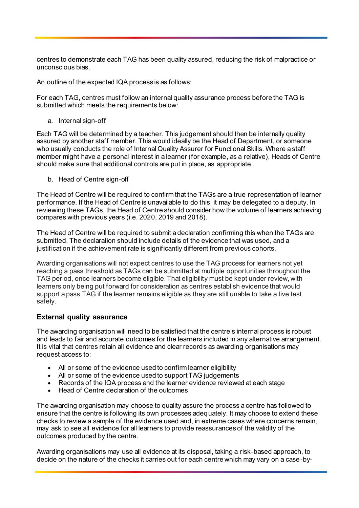centres to demonstrate each TAG has been quality assured, reducing the risk of malpractice or unconscious bias.

An outline of the expected IQA process is as follows:

For each TAG, centres must follow an internal quality assurance process before the TAG is submitted which meets the requirements below:

a. Internal sign-off

Each TAG will be determined by a teacher. This judgement should then be internally quality assured by another staff member. This would ideally be the Head of Department, or someone who usually conducts the role of Internal Quality Assurer for Functional Skills. Where a staff member might have a personal interest in a learner (for example, as a relative), Heads of Centre should make sure that additional controls are put in place, as appropriate.

b. Head of Centre sign-off

The Head of Centre will be required to confirm that the TAGs are a true representation of learner performance. If the Head of Centre is unavailable to do this, it may be delegated to a deputy. In reviewing these TAGs, the Head of Centre should consider how the volume of learners achieving compares with previous years (i.e. 2020, 2019 and 2018).

The Head of Centre will be required to submit a declaration confirming this when the TAGs are submitted. The declaration should include details of the evidence that was used, and a justification if the achievement rate is significantly different from previous cohorts.

Awarding organisations will not expect centres to use the TAG process for learners not yet reaching a pass threshold as TAGs can be submitted at multiple opportunities throughout the TAG period, once learners become eligible. That eligibility must be kept under review, with learners only being put forward for consideration as centres establish evidence that would support a pass TAG if the learner remains eligible as they are still unable to take a live test safely.

# **External quality assurance**

The awarding organisation will need to be satisfied that the centre's internal process is robust and leads to fair and accurate outcomes for the learners included in any alternative arrangement. It is vital that centres retain all evidence and clear records as awarding organisations may request access to:

- All or some of the evidence used to confirm learner eligibility
- All or some of the evidence used to support TAG judgements
- Records of the IQA process and the learner evidence reviewed at each stage
- Head of Centre declaration of the outcomes

The awarding organisation may choose to quality assure the process a centre has followed to ensure that the centre is following its own processes adequately. It may choose to extend these checks to review a sample of the evidence used and, in extreme cases where concerns remain, may ask to see all evidence for all learners to provide reassurances of the validity of the outcomes produced by the centre.

Awarding organisations may use all evidence at its disposal, taking a risk-based approach, to decide on the nature of the checks it carries out for each centre which may vary on a case-by-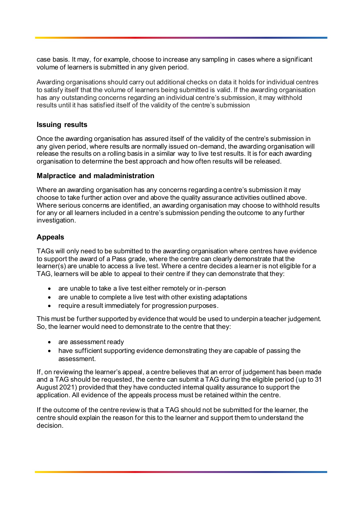case basis. It may, for example, choose to increase any sampling in cases where a significant volume of learners is submitted in any given period.

Awarding organisations should carry out additional checks on data it holds for individual centres to satisfy itself that the volume of learners being submitted is valid. If the awarding organisation has any outstanding concerns regarding an individual centre's submission, it may withhold results until it has satisfied itself of the validity of the centre's submission

## **Issuing results**

Once the awarding organisation has assured itself of the validity of the centre's submission in any given period, where results are normally issued on-demand, the awarding organisation will release the results on a rolling basis in a similar way to live test results. It is for each awarding organisation to determine the best approach and how often results will be released.

#### **Malpractice and maladministration**

Where an awarding organisation has any concerns regarding a centre's submission it may choose to take further action over and above the quality assurance activities outlined above. Where serious concerns are identified, an awarding organisation may choose to withhold results for any or all learners included in a centre's submission pending the outcome to any further investigation.

# **Appeals**

TAGs will only need to be submitted to the awarding organisation where centres have evidence to support the award of a Pass grade, where the centre can clearly demonstrate that the learner(s) are unable to access a live test. Where a centre decides a learner is not eligible for a TAG, learners will be able to appeal to their centre if they can demonstrate that they:

- are unable to take a live test either remotely or in-person
- are unable to complete a live test with other existing adaptations
- require a result immediately for progression purposes.

This must be further supported by evidence that would be used to underpin a teacher judgement. So, the learner would need to demonstrate to the centre that they:

- are assessment ready
- have sufficient supporting evidence demonstrating they are capable of passing the assessment.

If, on reviewing the learner's appeal, a centre believes that an error of judgement has been made and a TAG should be requested, the centre can submit a TAG during the eligible period (up to 31 August 2021) provided that they have conducted internal quality assurance to support the application. All evidence of the appeals process must be retained within the centre.

If the outcome of the centre review is that a TAG should not be submitted for the learner, the centre should explain the reason for this to the learner and support them to understand the decision.